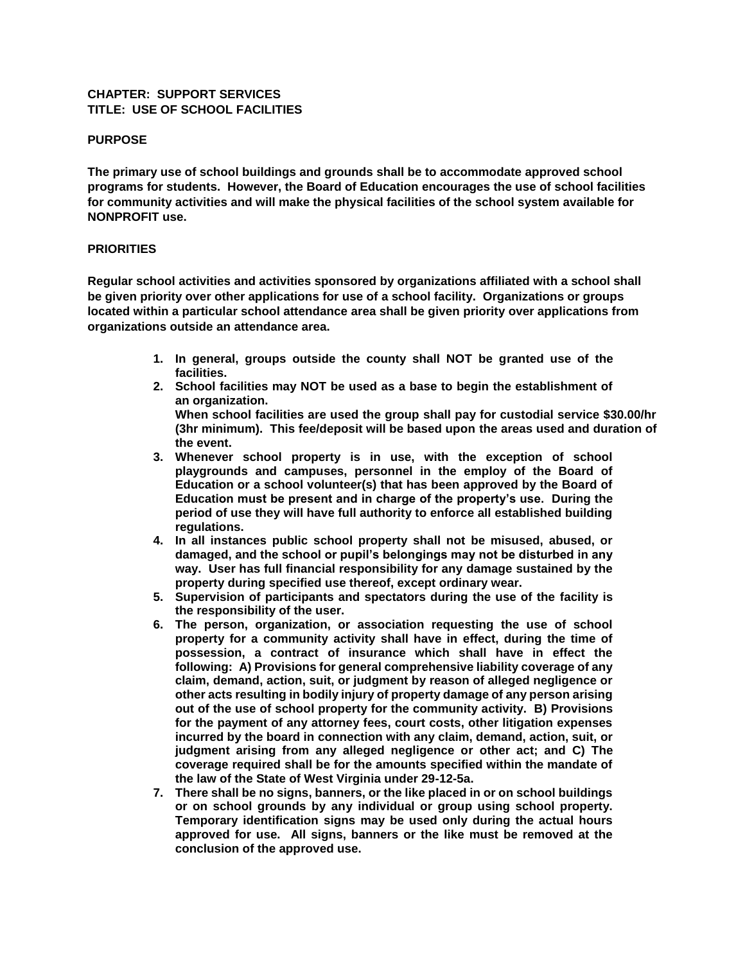# **CHAPTER: SUPPORT SERVICES TITLE: USE OF SCHOOL FACILITIES**

# **PURPOSE**

**The primary use of school buildings and grounds shall be to accommodate approved school programs for students. However, the Board of Education encourages the use of school facilities for community activities and will make the physical facilities of the school system available for NONPROFIT use.**

# **PRIORITIES**

**Regular school activities and activities sponsored by organizations affiliated with a school shall be given priority over other applications for use of a school facility. Organizations or groups located within a particular school attendance area shall be given priority over applications from organizations outside an attendance area.**

- **1. In general, groups outside the county shall NOT be granted use of the facilities.**
- **2. School facilities may NOT be used as a base to begin the establishment of an organization. When school facilities are used the group shall pay for custodial service \$30.00/hr**

**(3hr minimum). This fee/deposit will be based upon the areas used and duration of the event.** 

- **3. Whenever school property is in use, with the exception of school playgrounds and campuses, personnel in the employ of the Board of Education or a school volunteer(s) that has been approved by the Board of Education must be present and in charge of the property's use. During the period of use they will have full authority to enforce all established building regulations.**
- **4. In all instances public school property shall not be misused, abused, or damaged, and the school or pupil's belongings may not be disturbed in any way. User has full financial responsibility for any damage sustained by the property during specified use thereof, except ordinary wear.**
- **5. Supervision of participants and spectators during the use of the facility is the responsibility of the user.**
- **6. The person, organization, or association requesting the use of school property for a community activity shall have in effect, during the time of possession, a contract of insurance which shall have in effect the following: A) Provisions for general comprehensive liability coverage of any claim, demand, action, suit, or judgment by reason of alleged negligence or other acts resulting in bodily injury of property damage of any person arising out of the use of school property for the community activity. B) Provisions for the payment of any attorney fees, court costs, other litigation expenses incurred by the board in connection with any claim, demand, action, suit, or judgment arising from any alleged negligence or other act; and C) The coverage required shall be for the amounts specified within the mandate of the law of the State of West Virginia under 29-12-5a.**
- **7. There shall be no signs, banners, or the like placed in or on school buildings or on school grounds by any individual or group using school property. Temporary identification signs may be used only during the actual hours approved for use. All signs, banners or the like must be removed at the conclusion of the approved use.**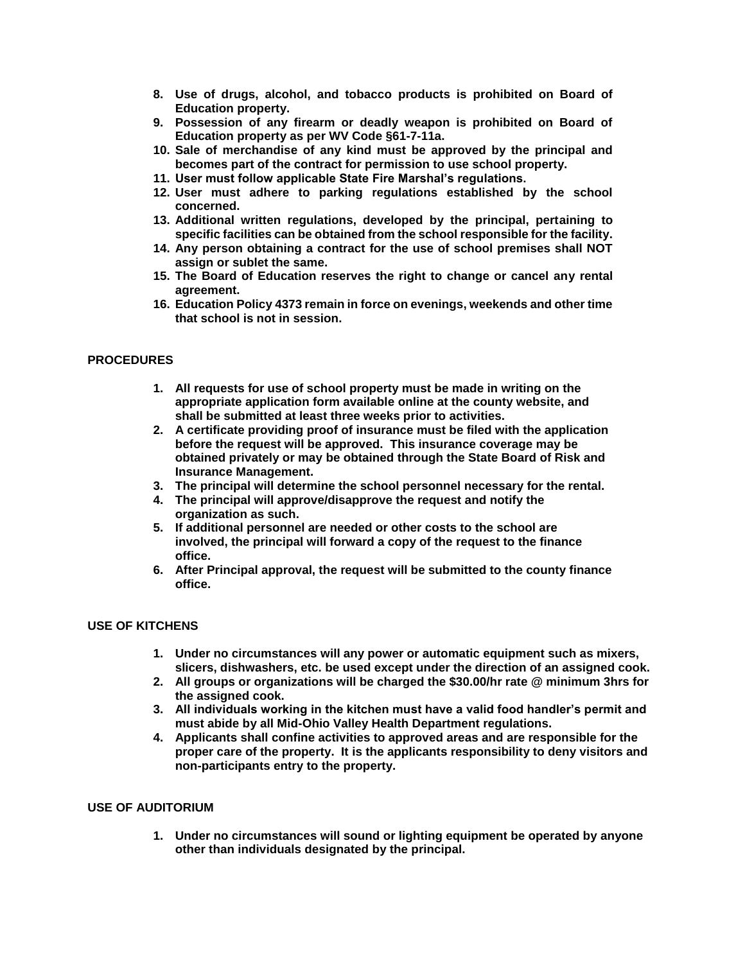- **8. Use of drugs, alcohol, and tobacco products is prohibited on Board of Education property.**
- **9. Possession of any firearm or deadly weapon is prohibited on Board of Education property as per WV Code §61-7-11a.**
- **10. Sale of merchandise of any kind must be approved by the principal and becomes part of the contract for permission to use school property.**
- **11. User must follow applicable State Fire Marshal's regulations.**
- **12. User must adhere to parking regulations established by the school concerned.**
- **13. Additional written regulations, developed by the principal, pertaining to specific facilities can be obtained from the school responsible for the facility.**
- **14. Any person obtaining a contract for the use of school premises shall NOT assign or sublet the same.**
- **15. The Board of Education reserves the right to change or cancel any rental agreement.**
- **16. Education Policy 4373 remain in force on evenings, weekends and other time that school is not in session.**

# **PROCEDURES**

- **1. All requests for use of school property must be made in writing on the appropriate application form available online at the county website, and shall be submitted at least three weeks prior to activities.**
- **2. A certificate providing proof of insurance must be filed with the application before the request will be approved. This insurance coverage may be obtained privately or may be obtained through the State Board of Risk and Insurance Management.**
- **3. The principal will determine the school personnel necessary for the rental.**
- **4. The principal will approve/disapprove the request and notify the organization as such.**
- **5. If additional personnel are needed or other costs to the school are involved, the principal will forward a copy of the request to the finance office.**
- **6. After Principal approval, the request will be submitted to the county finance office.**

#### **USE OF KITCHENS**

- **1. Under no circumstances will any power or automatic equipment such as mixers, slicers, dishwashers, etc. be used except under the direction of an assigned cook.**
- **2. All groups or organizations will be charged the \$30.00/hr rate @ minimum 3hrs for the assigned cook.**
- **3. All individuals working in the kitchen must have a valid food handler's permit and must abide by all Mid-Ohio Valley Health Department regulations.**
- **4. Applicants shall confine activities to approved areas and are responsible for the proper care of the property. It is the applicants responsibility to deny visitors and non-participants entry to the property.**

#### **USE OF AUDITORIUM**

**1. Under no circumstances will sound or lighting equipment be operated by anyone other than individuals designated by the principal.**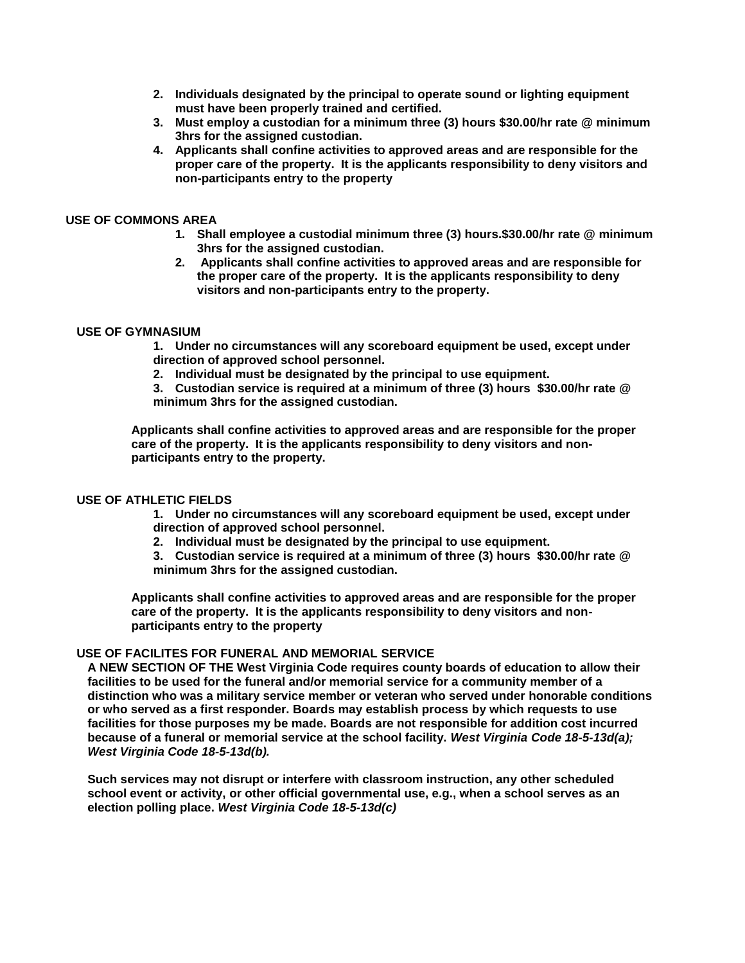- **2. Individuals designated by the principal to operate sound or lighting equipment must have been properly trained and certified.**
- **3. Must employ a custodian for a minimum three (3) hours \$30.00/hr rate @ minimum 3hrs for the assigned custodian.**
- **4. Applicants shall confine activities to approved areas and are responsible for the proper care of the property. It is the applicants responsibility to deny visitors and non-participants entry to the property**

## **USE OF COMMONS AREA**

- **1. Shall employee a custodial minimum three (3) hours.\$30.00/hr rate @ minimum 3hrs for the assigned custodian.**
- **2. Applicants shall confine activities to approved areas and are responsible for the proper care of the property. It is the applicants responsibility to deny visitors and non-participants entry to the property.**

# **USE OF GYMNASIUM**

**1. Under no circumstances will any scoreboard equipment be used, except under direction of approved school personnel.**

- **2. Individual must be designated by the principal to use equipment.**
- **3. Custodian service is required at a minimum of three (3) hours \$30.00/hr rate @ minimum 3hrs for the assigned custodian.**

**Applicants shall confine activities to approved areas and are responsible for the proper care of the property. It is the applicants responsibility to deny visitors and nonparticipants entry to the property.**

#### **USE OF ATHLETIC FIELDS**

- **1. Under no circumstances will any scoreboard equipment be used, except under direction of approved school personnel.**
- **2. Individual must be designated by the principal to use equipment.**
- **3. Custodian service is required at a minimum of three (3) hours \$30.00/hr rate @ minimum 3hrs for the assigned custodian.**

**Applicants shall confine activities to approved areas and are responsible for the proper care of the property. It is the applicants responsibility to deny visitors and nonparticipants entry to the property**

#### **USE OF FACILITES FOR FUNERAL AND MEMORIAL SERVICE**

**A NEW SECTION OF THE West Virginia Code requires county boards of education to allow their facilities to be used for the funeral and/or memorial service for a community member of a distinction who was a military service member or veteran who served under honorable conditions or who served as a first responder. Boards may establish process by which requests to use facilities for those purposes my be made. Boards are not responsible for addition cost incurred because of a funeral or memorial service at the school facility.** *West Virginia Code 18-5-13d(a); West Virginia Code 18-5-13d(b).*

**Such services may not disrupt or interfere with classroom instruction, any other scheduled school event or activity, or other official governmental use, e.g., when a school serves as an election polling place.** *West Virginia Code 18-5-13d(c)*